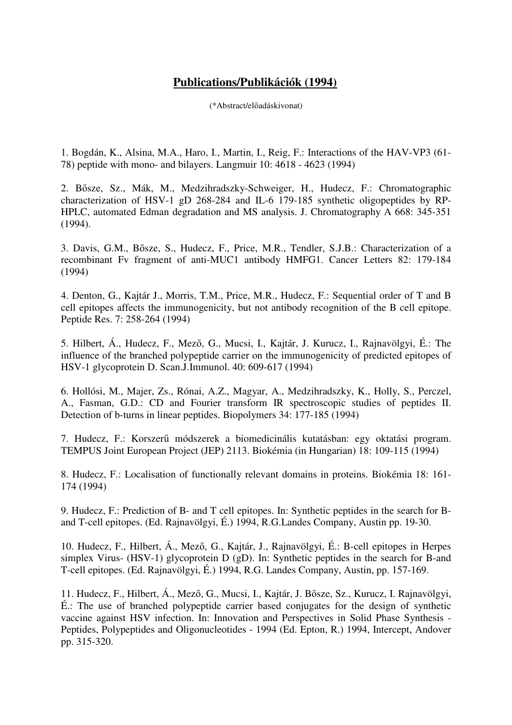## **Publications/Publikációk (1994)**

(\*Abstract/előadáskivonat)

1. Bogdán, K., Alsina, M.A., Haro, I., Martin, I., Reig, F.: Interactions of the HAV-VP3 (61- 78) peptide with mono- and bilayers. Langmuir 10: 4618 - 4623 (1994)

2. Bősze, Sz., Mák, M., Medzihradszky-Schweiger, H., Hudecz, F.: Chromatographic characterization of HSV-1 gD 268-284 and IL-6 179-185 synthetic oligopeptides by RP-HPLC, automated Edman degradation and MS analysis. J. Chromatography A 668: 345-351 (1994).

3. Davis, G.M., Bősze, S., Hudecz, F., Price, M.R., Tendler, S.J.B.: Characterization of a recombinant Fv fragment of anti-MUC1 antibody HMFG1. Cancer Letters 82: 179-184 (1994)

4. Denton, G., Kajtár J., Morris, T.M., Price, M.R., Hudecz, F.: Sequential order of T and B cell epitopes affects the immunogenicity, but not antibody recognition of the B cell epitope. Peptide Res. 7: 258-264 (1994)

5. Hilbert, Á., Hudecz, F., Mező, G., Mucsi, I., Kajtár, J. Kurucz, I., Rajnavölgyi, É.: The influence of the branched polypeptide carrier on the immunogenicity of predicted epitopes of HSV-1 glycoprotein D. Scan.J.Immunol. 40: 609-617 (1994)

6. Hollósi, M., Majer, Zs., Rónai, A.Z., Magyar, A., Medzihradszky, K., Holly, S., Perczel, A., Fasman, G.D.: CD and Fourier transform IR spectroscopic studies of peptides II. Detection of b-turns in linear peptides. Biopolymers 34: 177-185 (1994)

7. Hudecz, F.: Korszerű módszerek a biomedicinális kutatásban: egy oktatási program. TEMPUS Joint European Project (JEP) 2113. Biokémia (in Hungarian) 18: 109-115 (1994)

8. Hudecz, F.: Localisation of functionally relevant domains in proteins. Biokémia 18: 161- 174 (1994)

9. Hudecz, F.: Prediction of B- and T cell epitopes. In: Synthetic peptides in the search for Band T-cell epitopes. (Ed. Rajnavölgyi, É.) 1994, R.G.Landes Company, Austin pp. 19-30.

10. Hudecz, F., Hilbert, Á., Mező, G., Kajtár, J., Rajnavölgyi, É.: B-cell epitopes in Herpes simplex Virus- (HSV-1) glycoprotein D (gD). In: Synthetic peptides in the search for B-and T-cell epitopes. (Ed. Rajnavölgyi, É.) 1994, R.G. Landes Company, Austin, pp. 157-169.

11. Hudecz, F., Hilbert, Á., Mező, G., Mucsi, I., Kajtár, J. Bősze, Sz., Kurucz, I. Rajnavölgyi, É.: The use of branched polypeptide carrier based conjugates for the design of synthetic vaccine against HSV infection. In: Innovation and Perspectives in Solid Phase Synthesis - Peptides, Polypeptides and Oligonucleotides - 1994 (Ed. Epton, R.) 1994, Intercept, Andover pp. 315-320.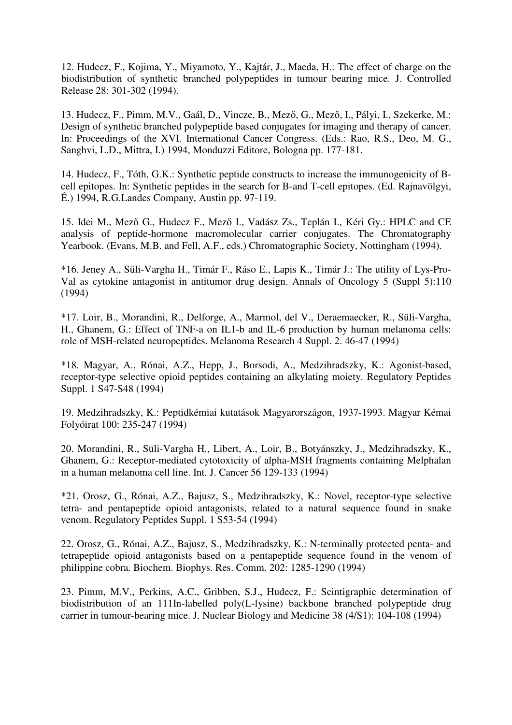12. Hudecz, F., Kojima, Y., Miyamoto, Y., Kajtár, J., Maeda, H.: The effect of charge on the biodistribution of synthetic branched polypeptides in tumour bearing mice. J. Controlled Release 28: 301-302 (1994).

13. Hudecz, F., Pimm, M.V., Gaál, D., Vincze, B., Mező, G., Mező, I., Pályi, I., Szekerke, M.: Design of synthetic branched polypeptide based conjugates for imaging and therapy of cancer. In: Proceedings of the XVI. International Cancer Congress. (Eds.: Rao, R.S., Deo, M. G., Sanghvi, L.D., Mittra, I.) 1994, Monduzzi Editore, Bologna pp. 177-181.

14. Hudecz, F., Tóth, G.K.: Synthetic peptide constructs to increase the immunogenicity of Bcell epitopes. In: Synthetic peptides in the search for B-and T-cell epitopes. (Ed. Rajnavölgyi, É.) 1994, R.G.Landes Company, Austin pp. 97-119.

15. Idei M., Mező G., Hudecz F., Mező I., Vadász Zs., Teplán I., Kéri Gy.: HPLC and CE analysis of peptide-hormone macromolecular carrier conjugates. The Chromatography Yearbook. (Evans, M.B. and Fell, A.F., eds.) Chromatographic Society, Nottingham (1994).

\*16. Jeney A., Süli-Vargha H., Timár F., Ráso E., Lapis K., Timár J.: The utility of Lys-Pro-Val as cytokine antagonist in antitumor drug design. Annals of Oncology 5 (Suppl 5):110 (1994)

\*17. Loir, B., Morandini, R., Delforge, A., Marmol, del V., Deraemaecker, R., Süli-Vargha, H., Ghanem, G.: Effect of TNF-a on IL1-b and IL-6 production by human melanoma cells: role of MSH-related neuropeptides. Melanoma Research 4 Suppl. 2. 46-47 (1994)

\*18. Magyar, A., Rónai, A.Z., Hepp, J., Borsodi, A., Medzihradszky, K.: Agonist-based, receptor-type selective opioid peptides containing an alkylating moiety. Regulatory Peptides Suppl. 1 S47-S48 (1994)

19. Medzihradszky, K.: Peptidkémiai kutatások Magyarországon, 1937-1993. Magyar Kémai Folyóirat 100: 235-247 (1994)

20. Morandini, R., Süli-Vargha H., Libert, A., Loir, B., Botyánszky, J., Medzihradszky, K., Ghanem, G.: Receptor-mediated cytotoxicity of alpha-MSH fragments containing Melphalan in a human melanoma cell line. Int. J. Cancer 56 129-133 (1994)

\*21. Orosz, G., Rónai, A.Z., Bajusz, S., Medzihradszky, K.: Novel, receptor-type selective tetra- and pentapeptide opioid antagonists, related to a natural sequence found in snake venom. Regulatory Peptides Suppl. 1 S53-54 (1994)

22. Orosz, G., Rónai, A.Z., Bajusz, S., Medzihradszky, K.: N-terminally protected penta- and tetrapeptide opioid antagonists based on a pentapeptide sequence found in the venom of philippine cobra. Biochem. Biophys. Res. Comm. 202: 1285-1290 (1994)

23. Pimm, M.V., Perkins, A.C., Gribben, S.J., Hudecz, F.: Scintigraphic determination of biodistribution of an 111In-labelled poly(L-lysine) backbone branched polypeptide drug carrier in tumour-bearing mice. J. Nuclear Biology and Medicine 38 (4/S1): 104-108 (1994)